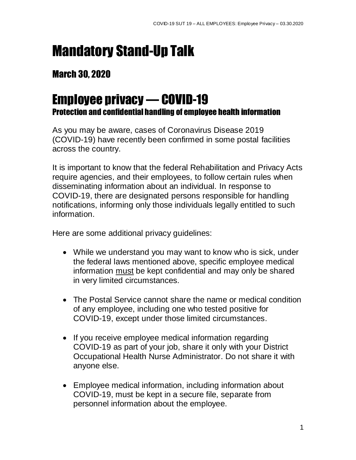## Mandatory Stand-Up Talk

## March 30, 2020

## Employee privacy — COVID-19 Protection and confidential handling of employee health information

As you may be aware, cases of Coronavirus Disease 2019 (COVID-19) have recently been confirmed in some postal facilities across the country.

It is important to know that the federal Rehabilitation and Privacy Acts require agencies, and their employees, to follow certain rules when disseminating information about an individual. In response to COVID-19, there are designated persons responsible for handling notifications, informing only those individuals legally entitled to such information.

Here are some additional privacy guidelines:

- While we understand you may want to know who is sick, under the federal laws mentioned above, specific employee medical information must be kept confidential and may only be shared in very limited circumstances.
- The Postal Service cannot share the name or medical condition of any employee, including one who tested positive for COVID-19, except under those limited circumstances.
- If you receive employee medical information regarding COVID-19 as part of your job, share it only with your District Occupational Health Nurse Administrator. Do not share it with anyone else.
- Employee medical information, including information about COVID-19, must be kept in a secure file, separate from personnel information about the employee.